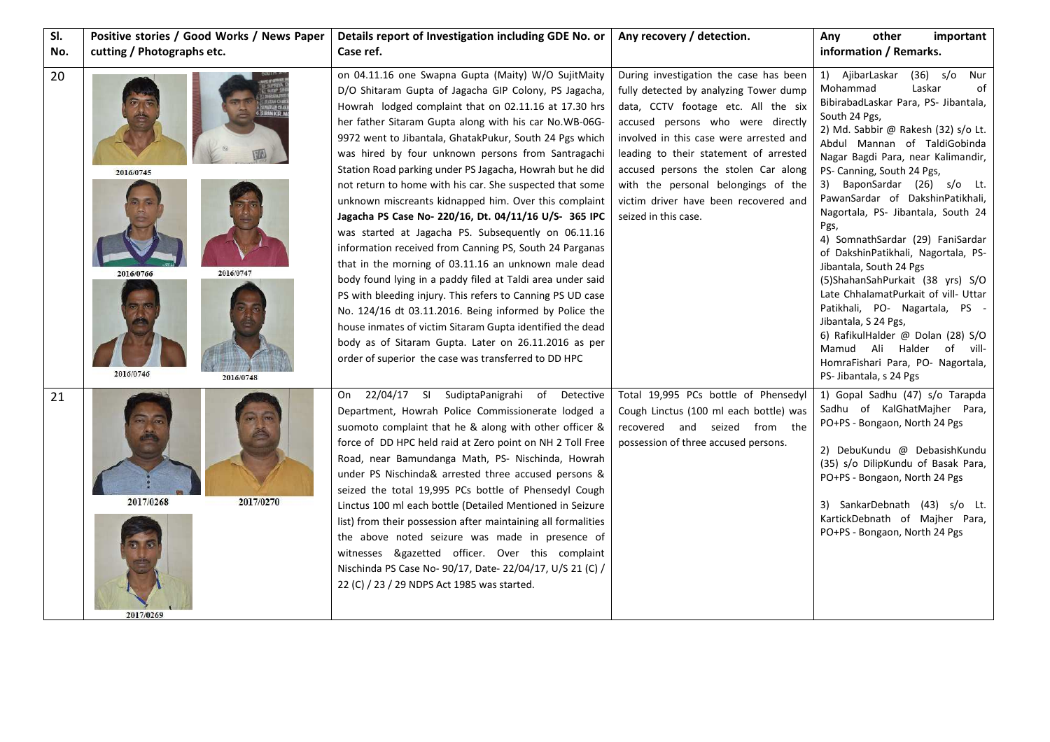| SI. | Positive stories / Good Works / News Paper                    | Details report of Investigation including GDE No. or                                                                                                                                                                                                                                                                                                                                                                                                                                                                                                                                                                                                                                                                                                                                                                                                                                                                                                                                                                                                                                                                                    | Any recovery / detection.                                                                                                                                                                                                                                                                                                                                                                         | other<br>Any<br>important                                                                                                                                                                                                                                                                                                                                                                                                                                                                                                                                                                                                                                                                                                                                              |
|-----|---------------------------------------------------------------|-----------------------------------------------------------------------------------------------------------------------------------------------------------------------------------------------------------------------------------------------------------------------------------------------------------------------------------------------------------------------------------------------------------------------------------------------------------------------------------------------------------------------------------------------------------------------------------------------------------------------------------------------------------------------------------------------------------------------------------------------------------------------------------------------------------------------------------------------------------------------------------------------------------------------------------------------------------------------------------------------------------------------------------------------------------------------------------------------------------------------------------------|---------------------------------------------------------------------------------------------------------------------------------------------------------------------------------------------------------------------------------------------------------------------------------------------------------------------------------------------------------------------------------------------------|------------------------------------------------------------------------------------------------------------------------------------------------------------------------------------------------------------------------------------------------------------------------------------------------------------------------------------------------------------------------------------------------------------------------------------------------------------------------------------------------------------------------------------------------------------------------------------------------------------------------------------------------------------------------------------------------------------------------------------------------------------------------|
| No. | cutting / Photographs etc.                                    | Case ref.                                                                                                                                                                                                                                                                                                                                                                                                                                                                                                                                                                                                                                                                                                                                                                                                                                                                                                                                                                                                                                                                                                                               |                                                                                                                                                                                                                                                                                                                                                                                                   | information / Remarks.                                                                                                                                                                                                                                                                                                                                                                                                                                                                                                                                                                                                                                                                                                                                                 |
| 20  | 2016/0745<br>2016/0747<br>2016/0766<br>2016/0746<br>2016/0748 | on 04.11.16 one Swapna Gupta (Maity) W/O SujitMaity<br>D/O Shitaram Gupta of Jagacha GIP Colony, PS Jagacha,<br>Howrah lodged complaint that on 02.11.16 at 17.30 hrs<br>her father Sitaram Gupta along with his car No.WB-06G-<br>9972 went to Jibantala, GhatakPukur, South 24 Pgs which<br>was hired by four unknown persons from Santragachi<br>Station Road parking under PS Jagacha, Howrah but he did<br>not return to home with his car. She suspected that some<br>unknown miscreants kidnapped him. Over this complaint<br>Jagacha PS Case No- 220/16, Dt. 04/11/16 U/S- 365 IPC<br>was started at Jagacha PS. Subsequently on 06.11.16<br>information received from Canning PS, South 24 Parganas<br>that in the morning of 03.11.16 an unknown male dead<br>body found lying in a paddy filed at Taldi area under said<br>PS with bleeding injury. This refers to Canning PS UD case<br>No. 124/16 dt 03.11.2016. Being informed by Police the<br>house inmates of victim Sitaram Gupta identified the dead<br>body as of Sitaram Gupta. Later on 26.11.2016 as per<br>order of superior the case was transferred to DD HPC | During investigation the case has been<br>fully detected by analyzing Tower dump<br>data, CCTV footage etc. All the six<br>accused persons who were directly<br>involved in this case were arrested and<br>leading to their statement of arrested<br>accused persons the stolen Car along<br>with the personal belongings of the<br>victim driver have been recovered and<br>seized in this case. | $(36)$ s/o Nur<br>AjibarLaskar<br>1)<br>Mohammad<br>Laskar<br>οf<br>BibirabadLaskar Para, PS- Jibantala,<br>South 24 Pgs,<br>2) Md. Sabbir @ Rakesh (32) s/o Lt.<br>Abdul Mannan of TaldiGobinda<br>Nagar Bagdi Para, near Kalimandir,<br>PS- Canning, South 24 Pgs,<br>3) BaponSardar (26) s/o Lt.<br>PawanSardar of DakshinPatikhali,<br>Nagortala, PS- Jibantala, South 24<br>Pgs,<br>4) SomnathSardar (29) FaniSardar<br>of DakshinPatikhali, Nagortala, PS-<br>Jibantala, South 24 Pgs<br>(5) Shahan Sah Purkait (38 yrs) S/O<br>Late ChhalamatPurkait of vill- Uttar<br>Patikhali, PO- Nagartala, PS -<br>Jibantala, S 24 Pgs,<br>6) RafikulHalder @ Dolan (28) S/O<br>Mamud Ali Halder of vill-<br>HomraFishari Para, PO- Nagortala,<br>PS- Jibantala, s 24 Pgs |
| 21  | 2017/0268<br>2017/0270<br>2017/0269                           | 22/04/17 SI SudiptaPanigrahi of Detective<br>On<br>Department, Howrah Police Commissionerate lodged a<br>suomoto complaint that he & along with other officer &<br>force of DD HPC held raid at Zero point on NH 2 Toll Free<br>Road, near Bamundanga Math, PS- Nischinda, Howrah<br>under PS Nischinda& arrested three accused persons &<br>seized the total 19,995 PCs bottle of Phensedyl Cough<br>Linctus 100 ml each bottle (Detailed Mentioned in Seizure<br>list) from their possession after maintaining all formalities<br>the above noted seizure was made in presence of<br>witnesses &gazetted officer. Over this complaint<br>Nischinda PS Case No- 90/17, Date- 22/04/17, U/S 21 (C) /<br>22 (C) / 23 / 29 NDPS Act 1985 was started.                                                                                                                                                                                                                                                                                                                                                                                     | Total 19,995 PCs bottle of Phensedyl<br>Cough Linctus (100 ml each bottle) was<br>recovered and seized from the<br>possession of three accused persons.                                                                                                                                                                                                                                           | 1) Gopal Sadhu (47) s/o Tarapda<br>Sadhu of KalGhatMajher Para,<br>PO+PS - Bongaon, North 24 Pgs<br>2) DebuKundu @ DebasishKundu<br>(35) s/o DilipKundu of Basak Para,<br>PO+PS - Bongaon, North 24 Pgs<br>3) SankarDebnath (43) s/o Lt.<br>KartickDebnath of Majher Para,<br>PO+PS - Bongaon, North 24 Pgs                                                                                                                                                                                                                                                                                                                                                                                                                                                            |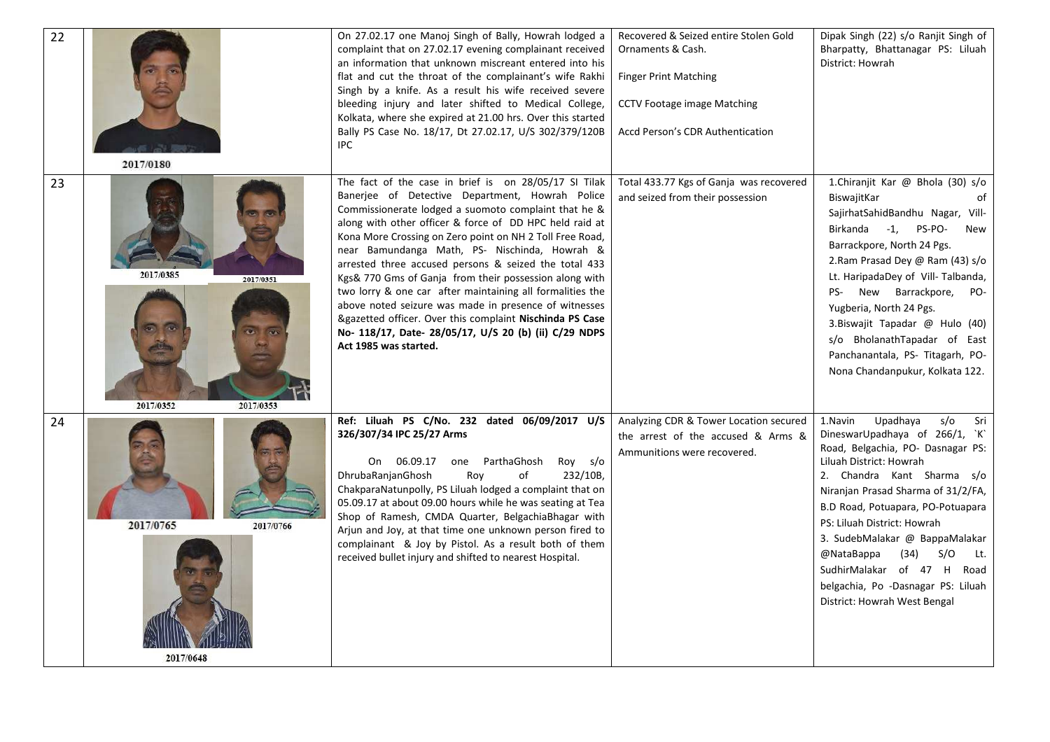| 22 | 2017/0180                                        | On 27.02.17 one Manoj Singh of Bally, Howrah lodged a<br>complaint that on 27.02.17 evening complainant received<br>an information that unknown miscreant entered into his<br>flat and cut the throat of the complainant's wife Rakhi<br>Singh by a knife. As a result his wife received severe<br>bleeding injury and later shifted to Medical College,<br>Kolkata, where she expired at 21.00 hrs. Over this started<br>Bally PS Case No. 18/17, Dt 27.02.17, U/S 302/379/120B<br>IPC.                                                                                                                                                                                                                                        | Recovered & Seized entire Stolen Gold<br>Ornaments & Cash.<br><b>Finger Print Matching</b><br><b>CCTV Footage image Matching</b><br>Accd Person's CDR Authentication | Dipak Singh (22) s/o Ranjit Singh of<br>Bharpatty, Bhattanagar PS: Liluah<br>District: Howrah                                                                                                                                                                                                                                                                                                                                                         |
|----|--------------------------------------------------|---------------------------------------------------------------------------------------------------------------------------------------------------------------------------------------------------------------------------------------------------------------------------------------------------------------------------------------------------------------------------------------------------------------------------------------------------------------------------------------------------------------------------------------------------------------------------------------------------------------------------------------------------------------------------------------------------------------------------------|----------------------------------------------------------------------------------------------------------------------------------------------------------------------|-------------------------------------------------------------------------------------------------------------------------------------------------------------------------------------------------------------------------------------------------------------------------------------------------------------------------------------------------------------------------------------------------------------------------------------------------------|
| 23 | 2017/0385<br>2017/0351<br>2017/0352<br>2017/0353 | The fact of the case in brief is on 28/05/17 SI Tilak<br>Banerjee of Detective Department, Howrah Police<br>Commissionerate lodged a suomoto complaint that he &<br>along with other officer & force of DD HPC held raid at<br>Kona More Crossing on Zero point on NH 2 Toll Free Road,<br>near Bamundanga Math, PS- Nischinda, Howrah &<br>arrested three accused persons & seized the total 433<br>Kgs& 770 Gms of Ganja from their possession along with<br>two lorry & one car after maintaining all formalities the<br>above noted seizure was made in presence of witnesses<br>&gazetted officer. Over this complaint Nischinda PS Case<br>No- 118/17, Date- 28/05/17, U/S 20 (b) (ii) C/29 NDPS<br>Act 1985 was started. | Total 433.77 Kgs of Ganja was recovered<br>and seized from their possession                                                                                          | 1.Chiranjit Kar @ Bhola (30) s/o<br>BiswajitKar<br>of<br>SajirhatSahidBandhu Nagar, Vill-<br>Birkanda -1, PS-PO-<br>New<br>Barrackpore, North 24 Pgs.<br>2.Ram Prasad Dey @ Ram (43) s/o<br>Lt. HaripadaDey of Vill-Talbanda,<br>PS- New Barrackpore, PO-<br>Yugberia, North 24 Pgs.<br>3. Biswajit Tapadar @ Hulo (40)<br>s/o BholanathTapadar of East<br>Panchanantala, PS- Titagarh, PO-<br>Nona Chandanpukur, Kolkata 122.                        |
| 24 | 2017/0765<br>2017/0766<br>2017/0648              | Ref: Liluah PS C/No. 232 dated 06/09/2017 U/S<br>326/307/34 IPC 25/27 Arms<br>one ParthaGhosh<br>On 06.09.17<br>Roy s/o<br>DhrubaRanjanGhosh<br>Roy<br>232/10B,<br>οf<br>ChakparaNatunpolly, PS Liluah lodged a complaint that on<br>05.09.17 at about 09.00 hours while he was seating at Tea<br>Shop of Ramesh, CMDA Quarter, BelgachiaBhagar with<br>Arjun and Joy, at that time one unknown person fired to<br>complainant & Joy by Pistol. As a result both of them<br>received bullet injury and shifted to nearest Hospital.                                                                                                                                                                                             | Analyzing CDR & Tower Location secured<br>the arrest of the accused & Arms &<br>Ammunitions were recovered.                                                          | Upadhaya<br>s/o<br>1.Navin<br>Sri<br>DineswarUpadhaya of 266/1, `K`<br>Road, Belgachia, PO- Dasnagar PS:<br>Liluah District: Howrah<br>2. Chandra Kant Sharma s/o<br>Niranjan Prasad Sharma of 31/2/FA,<br>B.D Road, Potuapara, PO-Potuapara<br>PS: Liluah District: Howrah<br>3. SudebMalakar @ BappaMalakar<br>(34)<br>@NataBappa<br>S/O<br>Lt.<br>SudhirMalakar of 47 H Road<br>belgachia, Po -Dasnagar PS: Liluah<br>District: Howrah West Bengal |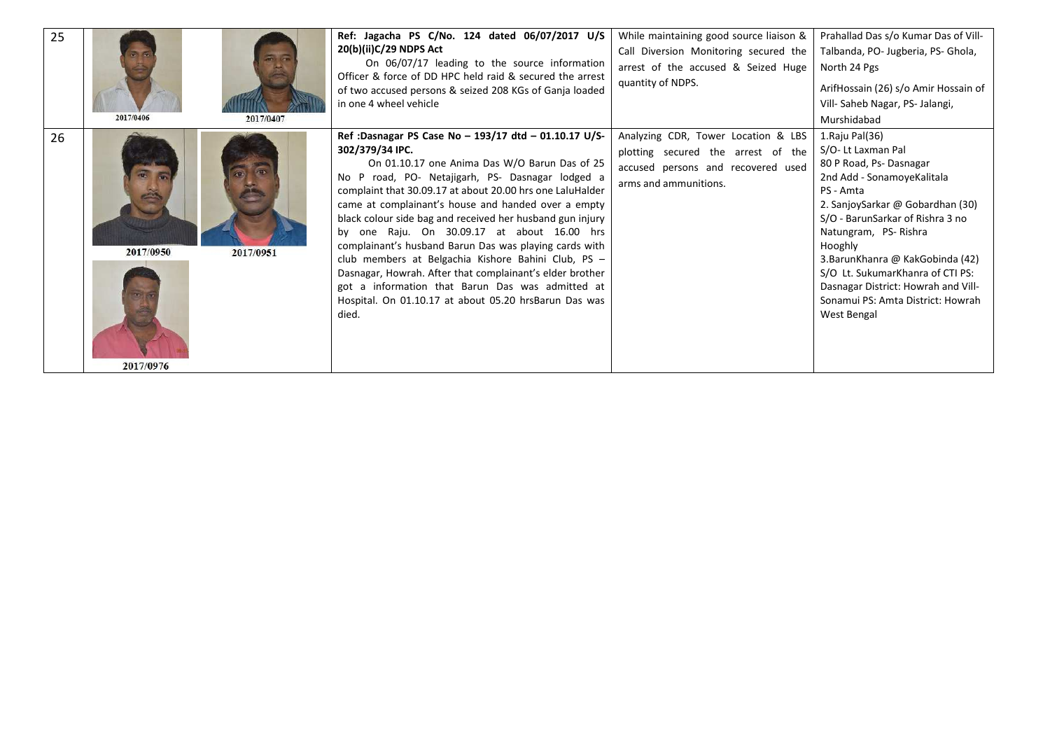| 25 | 2017/0406              | 2017/0407 | Ref: Jagacha PS C/No. 124 dated 06/07/2017 U/S<br>20(b)(ii)C/29 NDPS Act<br>On 06/07/17 leading to the source information<br>Officer & force of DD HPC held raid & secured the arrest<br>of two accused persons & seized 208 KGs of Ganja loaded<br>in one 4 wheel vehicle                                                                                                                                                                                                                                                                                                                                                                                                                                       | While maintaining good source liaison &<br>Call Diversion Monitoring secured the<br>arrest of the accused & Seized Huge<br>quantity of NDPS. | Prahallad Das s/o Kumar Das of Vill-<br>Talbanda, PO- Jugberia, PS- Ghola,<br>North 24 Pgs<br>ArifHossain (26) s/o Amir Hossain of<br>Vill- Saheb Nagar, PS- Jalangi,<br>Murshidabad                                                                                                                                                                                                       |
|----|------------------------|-----------|------------------------------------------------------------------------------------------------------------------------------------------------------------------------------------------------------------------------------------------------------------------------------------------------------------------------------------------------------------------------------------------------------------------------------------------------------------------------------------------------------------------------------------------------------------------------------------------------------------------------------------------------------------------------------------------------------------------|----------------------------------------------------------------------------------------------------------------------------------------------|--------------------------------------------------------------------------------------------------------------------------------------------------------------------------------------------------------------------------------------------------------------------------------------------------------------------------------------------------------------------------------------------|
| 26 | 2017/0950<br>2017/0976 | 2017/0951 | Ref: Dasnagar PS Case No - 193/17 dtd - 01.10.17 U/S-<br>302/379/34 IPC.<br>On 01.10.17 one Anima Das W/O Barun Das of 25<br>No P road, PO- Netajigarh, PS- Dasnagar lodged a<br>complaint that 30.09.17 at about 20.00 hrs one LaluHalder<br>came at complainant's house and handed over a empty<br>black colour side bag and received her husband gun injury<br>by one Raju. On 30.09.17 at about 16.00 hrs<br>complainant's husband Barun Das was playing cards with<br>club members at Belgachia Kishore Bahini Club, PS -<br>Dasnagar, Howrah. After that complainant's elder brother<br>got a information that Barun Das was admitted at<br>Hospital. On 01.10.17 at about 05.20 hrsBarun Das was<br>died. | Analyzing CDR, Tower Location & LBS<br>plotting secured the arrest of the<br>accused persons and recovered used<br>arms and ammunitions.     | 1. Raju Pal(36)<br>S/O- Lt Laxman Pal<br>80 P Road, Ps-Dasnagar<br>2nd Add - SonamoyeKalitala<br>PS - Amta<br>2. SanjoySarkar @ Gobardhan (30)<br>S/O - BarunSarkar of Rishra 3 no<br>Natungram, PS-Rishra<br>Hooghly<br>3. Barun Khanra @ Kak Gobinda (42)<br>S/O Lt. SukumarKhanra of CTI PS:<br>Dasnagar District: Howrah and Vill-<br>Sonamui PS: Amta District: Howrah<br>West Bengal |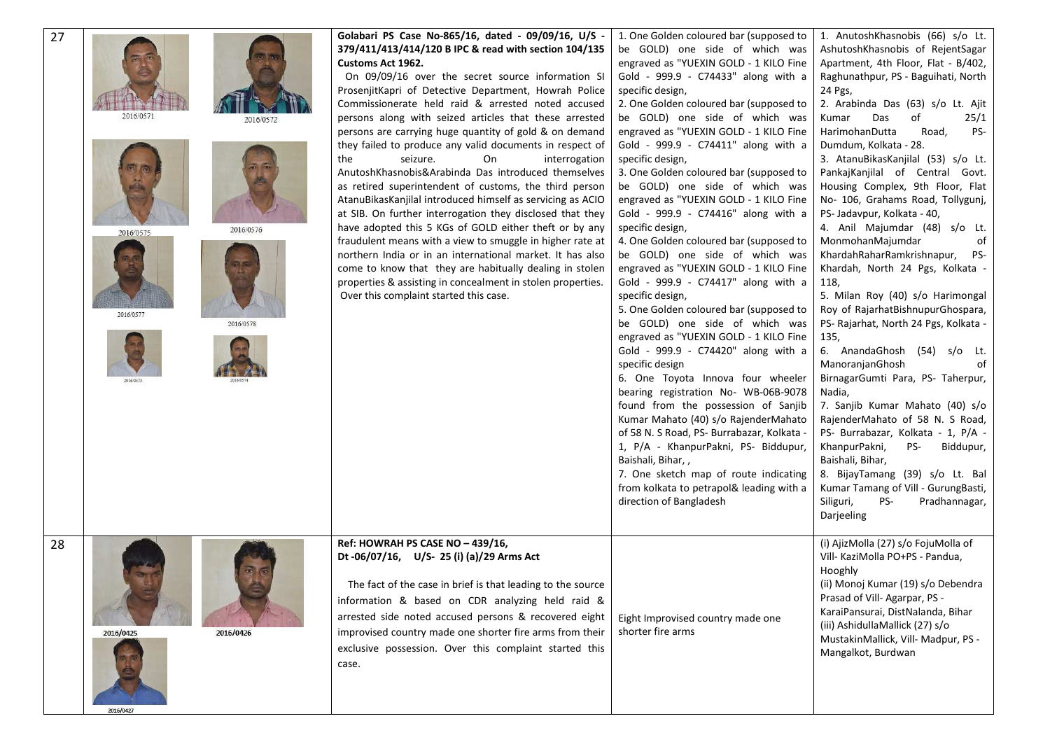| 27 | 2016/0571<br>2016/0572<br>2016/0576<br>2016/0575<br>2016/0577<br>2016/0578 | Golabari PS Case No-865/16, dated - 09/09/16, U/S -<br>379/411/413/414/120 B IPC & read with section 104/135<br>Customs Act 1962.<br>On 09/09/16 over the secret source information SI<br>ProsenjitKapri of Detective Department, Howrah Police<br>Commissionerate held raid & arrested noted accused<br>persons along with seized articles that these arrested<br>persons are carrying huge quantity of gold & on demand<br>they failed to produce any valid documents in respect of<br>the<br>seizure.<br>On<br>interrogation<br>AnutoshKhasnobis&Arabinda Das introduced themselves<br>as retired superintendent of customs, the third person<br>AtanuBikasKanjilal introduced himself as servicing as ACIO<br>at SIB. On further interrogation they disclosed that they<br>have adopted this 5 KGs of GOLD either theft or by any<br>fraudulent means with a view to smuggle in higher rate at<br>northern India or in an international market. It has also<br>come to know that they are habitually dealing in stolen<br>properties & assisting in concealment in stolen properties.<br>Over this complaint started this case. | 1. One Golden coloured bar (supposed to<br>be GOLD) one side of which was<br>engraved as "YUEXIN GOLD - 1 KILO Fine<br>Gold - 999.9 - C74433" along with a<br>specific design,<br>2. One Golden coloured bar (supposed to<br>be GOLD) one side of which was<br>engraved as "YUEXIN GOLD - 1 KILO Fine<br>Gold - 999.9 - C74411" along with a<br>specific design,<br>3. One Golden coloured bar (supposed to<br>be GOLD) one side of which was<br>engraved as "YUEXIN GOLD - 1 KILO Fine<br>Gold - 999.9 - C74416" along with a<br>specific design,<br>4. One Golden coloured bar (supposed to<br>be GOLD) one side of which was<br>engraved as "YUEXIN GOLD - 1 KILO Fine<br>Gold - 999.9 - C74417" along with a<br>specific design,<br>5. One Golden coloured bar (supposed to<br>be GOLD) one side of which was<br>engraved as "YUEXIN GOLD - 1 KILO Fine<br>Gold - 999.9 - C74420" along with a<br>specific design<br>6. One Toyota Innova four wheeler<br>bearing registration No- WB-06B-9078<br>found from the possession of Sanjib<br>Kumar Mahato (40) s/o RajenderMahato<br>of 58 N. S Road, PS- Burrabazar, Kolkata -<br>1, P/A - KhanpurPakni, PS- Biddupur,<br>Baishali, Bihar,,<br>7. One sketch map of route indicating<br>from kolkata to petrapol& leading with a<br>direction of Bangladesh | 1. AnutoshKhasnobis (66) s/o Lt.<br>AshutoshKhasnobis of RejentSagar<br>Apartment, 4th Floor, Flat - B/402,<br>Raghunathpur, PS - Baguihati, North<br>24 Pgs,<br>2. Arabinda Das (63) s/o Lt. Ajit<br>Das<br>of<br>25/1<br>Kumar<br>HarimohanDutta<br>PS-<br>Road,<br>Dumdum, Kolkata - 28.<br>3. AtanuBikasKanjilal (53) s/o Lt.<br>PankajKanjilal of Central Govt.<br>Housing Complex, 9th Floor, Flat<br>No- 106, Grahams Road, Tollygunj,<br>PS- Jadavpur, Kolkata - 40,<br>4. Anil Majumdar (48) s/o Lt.<br>MonmohanMajumdar<br>of<br>Khardah Rahar Ramkrishnapur,<br>PS-<br>Khardah, North 24 Pgs, Kolkata -<br>118,<br>5. Milan Roy (40) s/o Harimongal<br>Roy of RajarhatBishnupurGhospara,<br>PS- Rajarhat, North 24 Pgs, Kolkata -<br>135,<br>6. AnandaGhosh (54) s/o Lt.<br>ManoranjanGhosh<br>0f<br>BirnagarGumti Para, PS- Taherpur,<br>Nadia,<br>7. Sanjib Kumar Mahato (40) s/o<br>RajenderMahato of 58 N. S Road,<br>PS- Burrabazar, Kolkata - 1, P/A -<br>KhanpurPakni,<br>PS-<br>Biddupur,<br>Baishali, Bihar,<br>8. BijayTamang (39) s/o Lt. Bal<br>Kumar Tamang of Vill - GurungBasti,<br>Siliguri,<br>PS-<br>Pradhannagar,<br>Darjeeling |
|----|----------------------------------------------------------------------------|-------------------------------------------------------------------------------------------------------------------------------------------------------------------------------------------------------------------------------------------------------------------------------------------------------------------------------------------------------------------------------------------------------------------------------------------------------------------------------------------------------------------------------------------------------------------------------------------------------------------------------------------------------------------------------------------------------------------------------------------------------------------------------------------------------------------------------------------------------------------------------------------------------------------------------------------------------------------------------------------------------------------------------------------------------------------------------------------------------------------------------------|--------------------------------------------------------------------------------------------------------------------------------------------------------------------------------------------------------------------------------------------------------------------------------------------------------------------------------------------------------------------------------------------------------------------------------------------------------------------------------------------------------------------------------------------------------------------------------------------------------------------------------------------------------------------------------------------------------------------------------------------------------------------------------------------------------------------------------------------------------------------------------------------------------------------------------------------------------------------------------------------------------------------------------------------------------------------------------------------------------------------------------------------------------------------------------------------------------------------------------------------------------------------------------------------------------------|---------------------------------------------------------------------------------------------------------------------------------------------------------------------------------------------------------------------------------------------------------------------------------------------------------------------------------------------------------------------------------------------------------------------------------------------------------------------------------------------------------------------------------------------------------------------------------------------------------------------------------------------------------------------------------------------------------------------------------------------------------------------------------------------------------------------------------------------------------------------------------------------------------------------------------------------------------------------------------------------------------------------------------------------------------------------------------------------------------------------------------------------------------------|
| 28 | 2016/0425<br>2016/0426<br>2016/0427                                        | Ref: HOWRAH PS CASE NO - 439/16,<br>Dt -06/07/16, U/S- 25 (i) (a)/29 Arms Act<br>The fact of the case in brief is that leading to the source<br>information & based on CDR analyzing held raid &<br>arrested side noted accused persons & recovered eight<br>improvised country made one shorter fire arms from their<br>exclusive possession. Over this complaint started this<br>case.                                                                                                                                                                                                                                                                                                                                                                                                                                                                                                                                                                                                                                                                                                                                            | Eight Improvised country made one<br>shorter fire arms                                                                                                                                                                                                                                                                                                                                                                                                                                                                                                                                                                                                                                                                                                                                                                                                                                                                                                                                                                                                                                                                                                                                                                                                                                                       | (i) AjizMolla (27) s/o FojuMolla of<br>Vill- KaziMolla PO+PS - Pandua,<br>Hooghly<br>(ii) Monoj Kumar (19) s/o Debendra<br>Prasad of Vill-Agarpar, PS -<br>KaraiPansurai, DistNalanda, Bihar<br>(iii) AshidullaMallick (27) s/o<br>MustakinMallick, Vill- Madpur, PS -<br>Mangalkot, Burdwan                                                                                                                                                                                                                                                                                                                                                                                                                                                                                                                                                                                                                                                                                                                                                                                                                                                                  |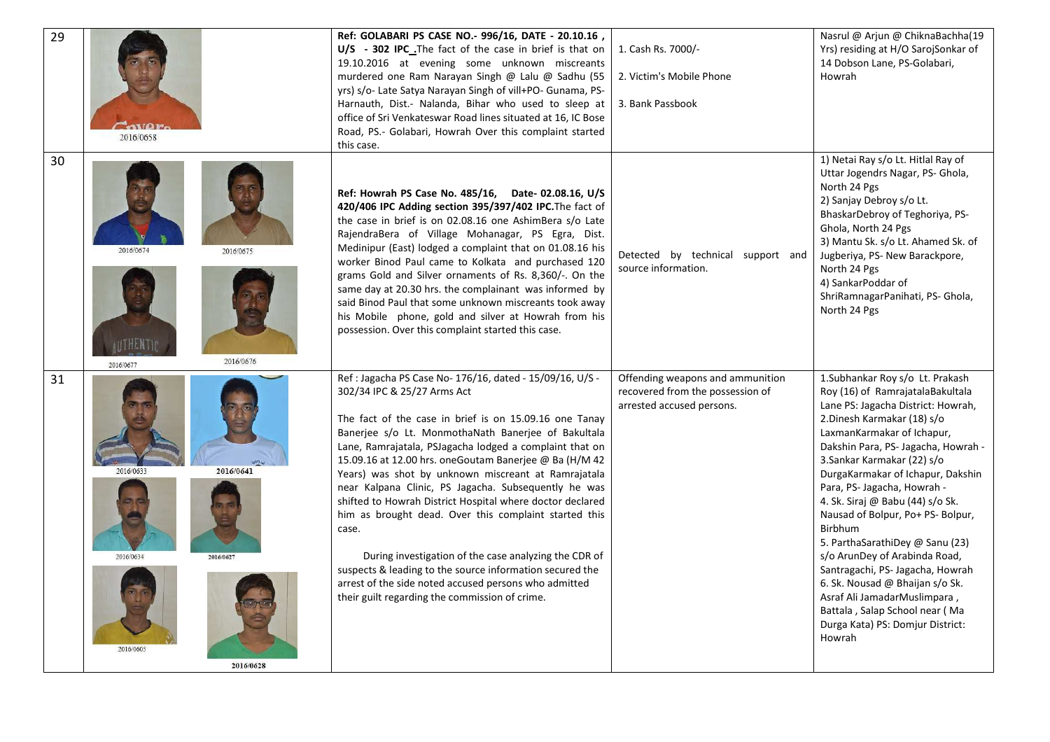| 29 |                                                                                   | Ref: GOLABARI PS CASE NO.- 996/16, DATE - 20.10.16,<br>U/S - 302 IPC The fact of the case in brief is that on<br>19.10.2016 at evening some unknown miscreants<br>murdered one Ram Narayan Singh @ Lalu @ Sadhu (55<br>yrs) s/o- Late Satya Narayan Singh of vill+PO- Gunama, PS-<br>Harnauth, Dist.- Nalanda, Bihar who used to sleep at<br>office of Sri Venkateswar Road lines situated at 16, IC Bose<br>Road, PS.- Golabari, Howrah Over this complaint started                                                                                                                                                                                                                                                                                                                                         | 1. Cash Rs. 7000/-<br>2. Victim's Mobile Phone<br>3. Bank Passbook                                | Nasrul @ Arjun @ ChiknaBachha(19<br>Yrs) residing at H/O SarojSonkar of<br>14 Dobson Lane, PS-Golabari,<br>Howrah                                                                                                                                                                                                                                                                                                                                                                                                                                                                                                                                               |
|----|-----------------------------------------------------------------------------------|--------------------------------------------------------------------------------------------------------------------------------------------------------------------------------------------------------------------------------------------------------------------------------------------------------------------------------------------------------------------------------------------------------------------------------------------------------------------------------------------------------------------------------------------------------------------------------------------------------------------------------------------------------------------------------------------------------------------------------------------------------------------------------------------------------------|---------------------------------------------------------------------------------------------------|-----------------------------------------------------------------------------------------------------------------------------------------------------------------------------------------------------------------------------------------------------------------------------------------------------------------------------------------------------------------------------------------------------------------------------------------------------------------------------------------------------------------------------------------------------------------------------------------------------------------------------------------------------------------|
| 30 | 2016/0658<br>2016/0674<br>2016/0675<br><b>AUTHENTIC</b><br>2016/0676<br>2016/0677 | this case.<br>Ref: Howrah PS Case No. 485/16, Date-02.08.16, U/S<br>420/406 IPC Adding section 395/397/402 IPC. The fact of<br>the case in brief is on 02.08.16 one AshimBera s/o Late<br>RajendraBera of Village Mohanagar, PS Egra, Dist.<br>Medinipur (East) lodged a complaint that on 01.08.16 his<br>worker Binod Paul came to Kolkata and purchased 120<br>grams Gold and Silver ornaments of Rs. 8,360/-. On the<br>same day at 20.30 hrs. the complainant was informed by<br>said Binod Paul that some unknown miscreants took away<br>his Mobile phone, gold and silver at Howrah from his<br>possession. Over this complaint started this case.                                                                                                                                                   | Detected by technical support and<br>source information.                                          | 1) Netai Ray s/o Lt. Hitlal Ray of<br>Uttar Jogendrs Nagar, PS- Ghola,<br>North 24 Pgs<br>2) Sanjay Debroy s/o Lt.<br>BhaskarDebroy of Teghoriya, PS-<br>Ghola, North 24 Pgs<br>3) Mantu Sk. s/o Lt. Ahamed Sk. of<br>Jugberiya, PS- New Barackpore,<br>North 24 Pgs<br>4) SankarPoddar of<br>ShriRamnagarPanihati, PS- Ghola,<br>North 24 Pgs                                                                                                                                                                                                                                                                                                                  |
| 31 | 2016/0641<br>2016/0634<br>2016/0627<br>2016/0605<br>2016/0628                     | Ref : Jagacha PS Case No- 176/16, dated - 15/09/16, U/S -<br>302/34 IPC & 25/27 Arms Act<br>The fact of the case in brief is on 15.09.16 one Tanay<br>Banerjee s/o Lt. MonmothaNath Banerjee of Bakultala<br>Lane, Ramrajatala, PSJagacha lodged a complaint that on<br>15.09.16 at 12.00 hrs. oneGoutam Banerjee @ Ba (H/M 42<br>Years) was shot by unknown miscreant at Ramrajatala<br>near Kalpana Clinic, PS Jagacha. Subsequently he was<br>shifted to Howrah District Hospital where doctor declared<br>him as brought dead. Over this complaint started this<br>case.<br>During investigation of the case analyzing the CDR of<br>suspects & leading to the source information secured the<br>arrest of the side noted accused persons who admitted<br>their guilt regarding the commission of crime. | Offending weapons and ammunition<br>recovered from the possession of<br>arrested accused persons. | 1.Subhankar Roy s/o Lt. Prakash<br>Roy (16) of RamrajatalaBakultala<br>Lane PS: Jagacha District: Howrah,<br>2. Dinesh Karmakar (18) s/o<br>LaxmanKarmakar of Ichapur,<br>Dakshin Para, PS- Jagacha, Howrah -<br>3. Sankar Karmakar (22) s/o<br>DurgaKarmakar of Ichapur, Dakshin<br>Para, PS- Jagacha, Howrah -<br>4. Sk. Siraj @ Babu (44) s/o Sk.<br>Nausad of Bolpur, Po+ PS- Bolpur,<br>Birbhum<br>5. ParthaSarathiDey @ Sanu (23)<br>s/o ArunDey of Arabinda Road,<br>Santragachi, PS- Jagacha, Howrah<br>6. Sk. Nousad @ Bhaijan s/o Sk.<br>Asraf Ali JamadarMuslimpara,<br>Battala, Salap School near (Ma<br>Durga Kata) PS: Domjur District:<br>Howrah |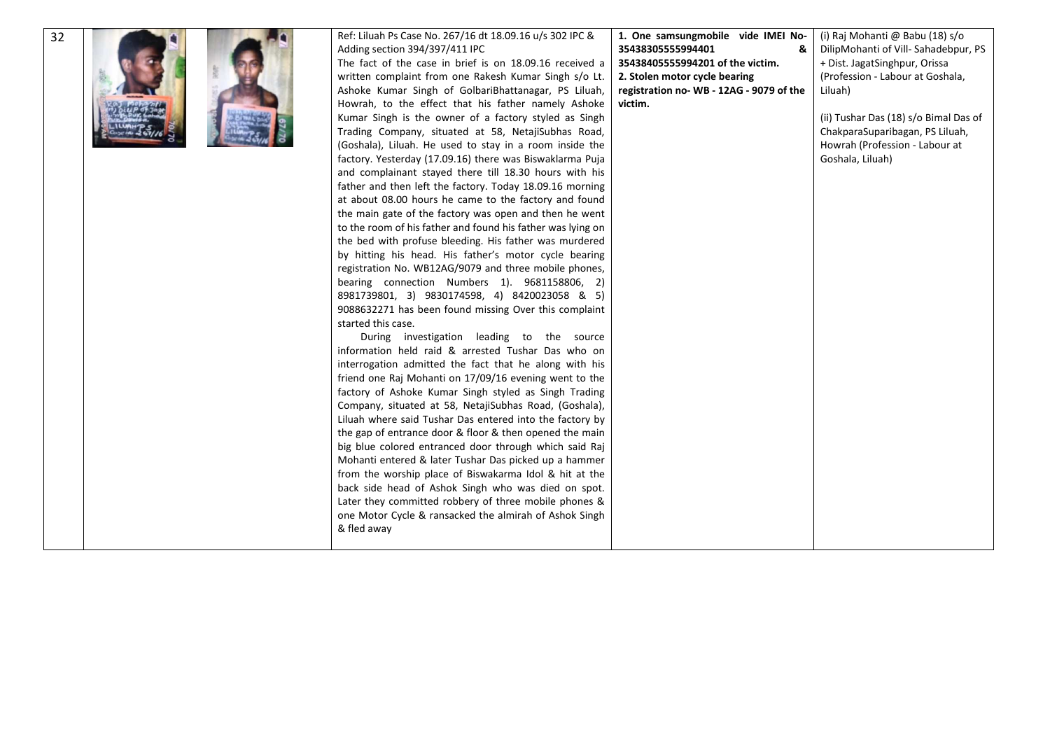| 32 | Ref: Liluah Ps Case No. 267/16 dt 18.09.16 u/s 302 IPC &<br>Adding section 394/397/411 IPC<br>The fact of the case in brief is on 18.09.16 received a<br>written complaint from one Rakesh Kumar Singh s/o Lt.<br>Ashoke Kumar Singh of GolbariBhattanagar, PS Liluah,<br>Howrah, to the effect that his father namely Ashoke<br>Kumar Singh is the owner of a factory styled as Singh<br>Trading Company, situated at 58, NetajiSubhas Road,<br>(Goshala), Liluah. He used to stay in a room inside the<br>factory. Yesterday (17.09.16) there was Biswaklarma Puja<br>and complainant stayed there till 18.30 hours with his<br>father and then left the factory. Today 18.09.16 morning<br>at about 08.00 hours he came to the factory and found<br>the main gate of the factory was open and then he went<br>to the room of his father and found his father was lying on<br>the bed with profuse bleeding. His father was murdered<br>by hitting his head. His father's motor cycle bearing<br>registration No. WB12AG/9079 and three mobile phones,<br>bearing connection Numbers 1). 9681158806, 2)<br>8981739801, 3) 9830174598, 4) 8420023058 & 5)<br>9088632271 has been found missing Over this complaint<br>started this case.<br>During investigation leading to the source<br>information held raid & arrested Tushar Das who on<br>interrogation admitted the fact that he along with his<br>friend one Raj Mohanti on 17/09/16 evening went to the<br>factory of Ashoke Kumar Singh styled as Singh Trading<br>Company, situated at 58, NetajiSubhas Road, (Goshala),<br>Liluah where said Tushar Das entered into the factory by<br>the gap of entrance door & floor & then opened the main<br>big blue colored entranced door through which said Raj<br>Mohanti entered & later Tushar Das picked up a hammer<br>from the worship place of Biswakarma Idol & hit at the<br>back side head of Ashok Singh who was died on spot.<br>Later they committed robbery of three mobile phones & | 1. One samsungmobile vide IMEI No-<br>35438305555994401<br>&<br>35438405555994201 of the victim.<br>2. Stolen motor cycle bearing<br>registration no-WB - 12AG - 9079 of the<br>victim. | (i) Raj Mohanti @ Babu (18) s/o<br>DilipMohanti of Vill-Sahadebpur, PS<br>+ Dist. JagatSinghpur, Orissa<br>(Profession - Labour at Goshala,<br>Liluah)<br>(ii) Tushar Das (18) s/o Bimal Das of<br>ChakparaSuparibagan, PS Liluah,<br>Howrah (Profession - Labour at<br>Goshala, Liluah) |
|----|----------------------------------------------------------------------------------------------------------------------------------------------------------------------------------------------------------------------------------------------------------------------------------------------------------------------------------------------------------------------------------------------------------------------------------------------------------------------------------------------------------------------------------------------------------------------------------------------------------------------------------------------------------------------------------------------------------------------------------------------------------------------------------------------------------------------------------------------------------------------------------------------------------------------------------------------------------------------------------------------------------------------------------------------------------------------------------------------------------------------------------------------------------------------------------------------------------------------------------------------------------------------------------------------------------------------------------------------------------------------------------------------------------------------------------------------------------------------------------------------------------------------------------------------------------------------------------------------------------------------------------------------------------------------------------------------------------------------------------------------------------------------------------------------------------------------------------------------------------------------------------------------------------------------------------------------------------------------------------------------------------|-----------------------------------------------------------------------------------------------------------------------------------------------------------------------------------------|------------------------------------------------------------------------------------------------------------------------------------------------------------------------------------------------------------------------------------------------------------------------------------------|
|    | one Motor Cycle & ransacked the almirah of Ashok Singh<br>& fled away                                                                                                                                                                                                                                                                                                                                                                                                                                                                                                                                                                                                                                                                                                                                                                                                                                                                                                                                                                                                                                                                                                                                                                                                                                                                                                                                                                                                                                                                                                                                                                                                                                                                                                                                                                                                                                                                                                                                    |                                                                                                                                                                                         |                                                                                                                                                                                                                                                                                          |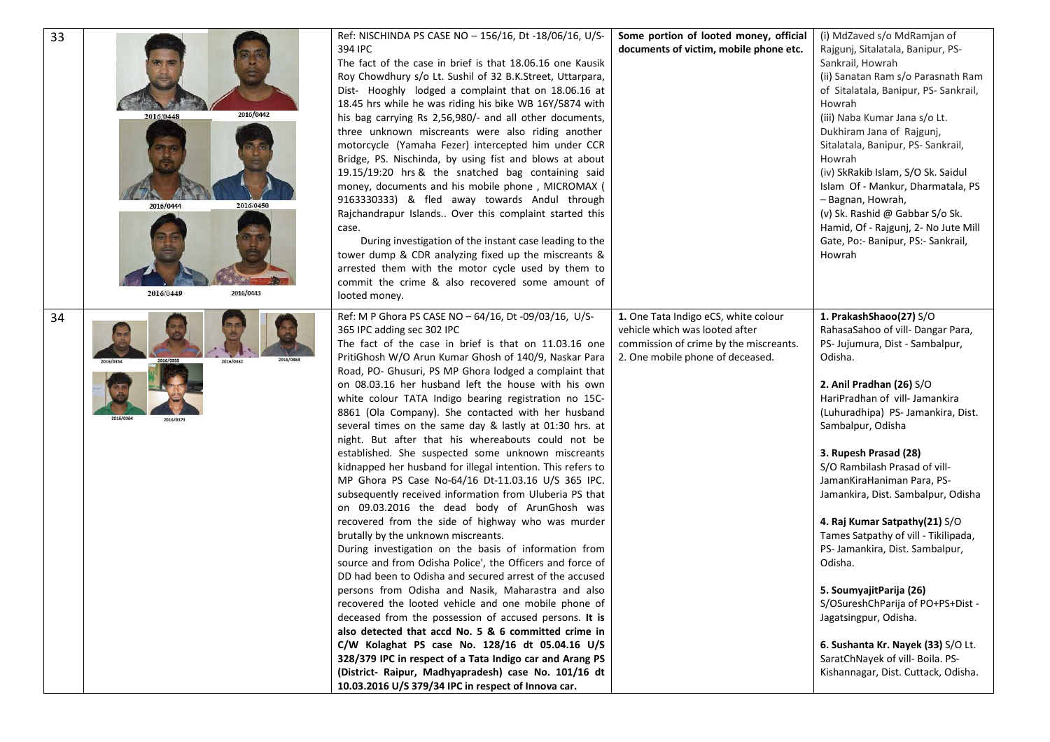| 33 |                        | Ref: NISCHINDA PS CASE NO - 156/16, Dt -18/06/16, U/S-                                   | Some portion of looted money, official | (i) MdZaved s/o MdRamjan of                                           |
|----|------------------------|------------------------------------------------------------------------------------------|----------------------------------------|-----------------------------------------------------------------------|
|    |                        | 394 IPC                                                                                  | documents of victim, mobile phone etc. | Rajgunj, Sitalatala, Banipur, PS-                                     |
|    |                        | The fact of the case in brief is that 18.06.16 one Kausik                                |                                        | Sankrail, Howrah                                                      |
|    |                        | Roy Chowdhury s/o Lt. Sushil of 32 B.K.Street, Uttarpara,                                |                                        | (ii) Sanatan Ram s/o Parasnath Ram                                    |
|    |                        | Dist- Hooghly lodged a complaint that on 18.06.16 at                                     |                                        | of Sitalatala, Banipur, PS- Sankrail,                                 |
|    |                        | 18.45 hrs while he was riding his bike WB 16Y/5874 with                                  |                                        | Howrah                                                                |
|    | 2016/0442<br>2016/0448 | his bag carrying Rs 2,56,980/- and all other documents,                                  |                                        | (iii) Naba Kumar Jana s/o Lt.                                         |
|    |                        | three unknown miscreants were also riding another                                        |                                        | Dukhiram Jana of Rajgunj,                                             |
|    |                        | motorcycle (Yamaha Fezer) intercepted him under CCR                                      |                                        | Sitalatala, Banipur, PS- Sankrail,                                    |
|    |                        | Bridge, PS. Nischinda, by using fist and blows at about                                  |                                        | Howrah                                                                |
|    |                        | 19.15/19:20 hrs & the snatched bag containing said                                       |                                        | (iv) SkRakib Islam, S/O Sk. Saidul                                    |
|    |                        | money, documents and his mobile phone, MICROMAX (                                        |                                        | Islam Of - Mankur, Dharmatala, PS                                     |
|    |                        | 9163330333) & fled away towards Andul through                                            |                                        | - Bagnan, Howrah,                                                     |
|    | 2016/0444<br>2016/0450 | Rajchandrapur Islands Over this complaint started this                                   |                                        | (v) Sk. Rashid @ Gabbar S/o Sk.                                       |
|    |                        | case.                                                                                    |                                        | Hamid, Of - Rajgunj, 2- No Jute Mill                                  |
|    |                        | During investigation of the instant case leading to the                                  |                                        | Gate, Po:- Banipur, PS:- Sankrail,                                    |
|    |                        | tower dump & CDR analyzing fixed up the miscreants &                                     |                                        | Howrah                                                                |
|    |                        | arrested them with the motor cycle used by them to                                       |                                        |                                                                       |
|    |                        | commit the crime & also recovered some amount of                                         |                                        |                                                                       |
|    | 2016/0449<br>2016/0443 | looted money.                                                                            |                                        |                                                                       |
|    |                        |                                                                                          |                                        |                                                                       |
| 34 |                        | Ref: M P Ghora PS CASE NO - 64/16, Dt -09/03/16, U/S-                                    | 1. One Tata Indigo eCS, white colour   | 1. PrakashShaoo(27) S/O                                               |
|    |                        | 365 IPC adding sec 302 IPC                                                               | vehicle which was looted after         | RahasaSahoo of vill- Dangar Para,                                     |
|    |                        | The fact of the case in brief is that on 11.03.16 one                                    | commission of crime by the miscreants. | PS- Jujumura, Dist - Sambalpur,                                       |
|    | 2016/0362              | PritiGhosh W/O Arun Kumar Ghosh of 140/9, Naskar Para                                    | 2. One mobile phone of deceased.       | Odisha.                                                               |
|    |                        | Road, PO- Ghusuri, PS MP Ghora lodged a complaint that                                   |                                        |                                                                       |
|    |                        | on 08.03.16 her husband left the house with his own                                      |                                        | 2. Anil Pradhan (26) S/O                                              |
|    |                        | white colour TATA Indigo bearing registration no 15C-                                    |                                        | HariPradhan of vill- Jamankira                                        |
|    | 2016/0364<br>2016/0373 | 8861 (Ola Company). She contacted with her husband                                       |                                        | (Luhuradhipa) PS- Jamankira, Dist.                                    |
|    |                        | several times on the same day & lastly at 01:30 hrs. at                                  |                                        | Sambalpur, Odisha                                                     |
|    |                        | night. But after that his whereabouts could not be                                       |                                        |                                                                       |
|    |                        | established. She suspected some unknown miscreants                                       |                                        | 3. Rupesh Prasad (28)                                                 |
|    |                        | kidnapped her husband for illegal intention. This refers to                              |                                        | S/O Rambilash Prasad of vill-                                         |
|    |                        | MP Ghora PS Case No-64/16 Dt-11.03.16 U/S 365 IPC.                                       |                                        | JamanKiraHaniman Para, PS-                                            |
|    |                        | subsequently received information from Uluberia PS that                                  |                                        | Jamankira, Dist. Sambalpur, Odisha                                    |
|    |                        | on 09.03.2016 the dead body of ArunGhosh was                                             |                                        |                                                                       |
|    |                        | recovered from the side of highway who was murder<br>brutally by the unknown miscreants. |                                        | 4. Raj Kumar Satpathy(21) S/O<br>Tames Satpathy of vill - Tikilipada, |
|    |                        | During investigation on the basis of information from                                    |                                        | PS- Jamankira, Dist. Sambalpur,                                       |
|    |                        | source and from Odisha Police', the Officers and force of                                |                                        | Odisha.                                                               |
|    |                        | DD had been to Odisha and secured arrest of the accused                                  |                                        |                                                                       |
|    |                        | persons from Odisha and Nasik, Maharastra and also                                       |                                        | 5. SoumyajitParija (26)                                               |
|    |                        | recovered the looted vehicle and one mobile phone of                                     |                                        | S/OSureshChParija of PO+PS+Dist -                                     |
|    |                        | deceased from the possession of accused persons. It is                                   |                                        | Jagatsingpur, Odisha.                                                 |
|    |                        | also detected that accd No. 5 & 6 committed crime in                                     |                                        |                                                                       |
|    |                        | C/W Kolaghat PS case No. 128/16 dt 05.04.16 U/S                                          |                                        | 6. Sushanta Kr. Nayek (33) S/O Lt.                                    |
|    |                        | 328/379 IPC in respect of a Tata Indigo car and Arang PS                                 |                                        | SaratChNayek of vill- Boila. PS-                                      |
|    |                        | (District- Raipur, Madhyapradesh) case No. 101/16 dt                                     |                                        | Kishannagar, Dist. Cuttack, Odisha.                                   |
|    |                        | 10.03.2016 U/S 379/34 IPC in respect of Innova car.                                      |                                        |                                                                       |
|    |                        |                                                                                          |                                        |                                                                       |